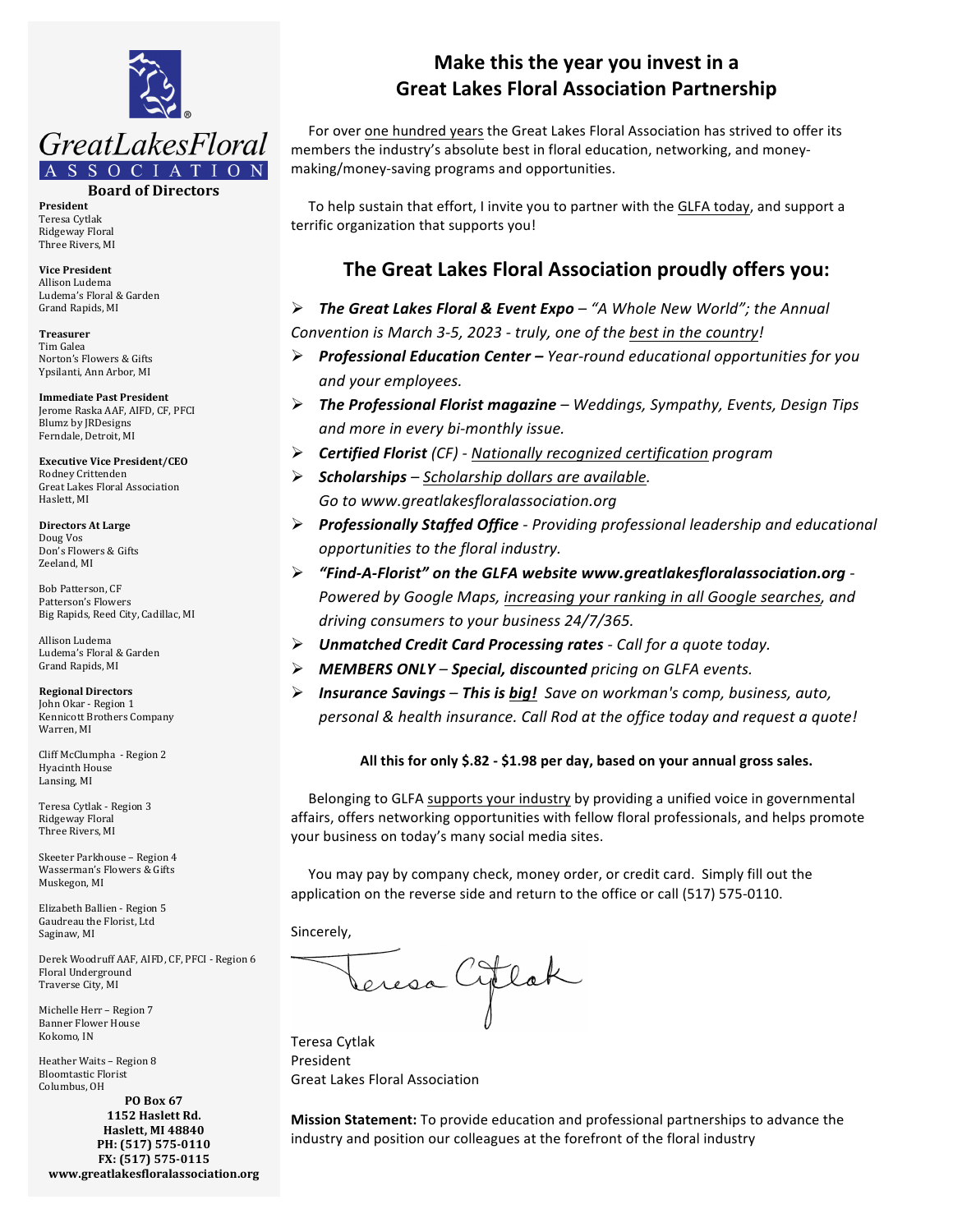

**Board of Directors**

**President** Teresa Cytlak Ridgeway Floral Three Rivers, MI

**Vice President** Allison Ludema Ludema's Floral & Garden Grand Rapids, MI

**Treasurer** Tim Galea Norton's Flowers & Gifts Ypsilanti, Ann Arbor, MI

**Immediate Past President** Jerome Raska AAF, AIFD, CF, PFCI Blumz by JRDesigns Ferndale, Detroit, MI

**Executive Vice President/CEO** Rodney Crittenden Great Lakes Floral Association Haslett, MI

**Directors At Large** Doug Vos Don's Flowers & Gifts Zeeland, MI

Bob Patterson, CF Patterson's Flowers Big Rapids, Reed City, Cadillac, MI

Allison Ludema Ludema's Floral & Garden Grand Rapids, MI

**Regional Directors** John Okar - Region 1 Kennicott Brothers Company Warren, MI

Cliff McClumpha - Region 2 Hyacinth House Lansing, MI

Teresa Cytlak - Region 3 Ridgeway Floral Three Rivers, MI

Skeeter Parkhouse - Region 4 Wasserman's Flowers & Gifts Muskegon, MI

Elizabeth Ballien - Region 5 Gaudreau the Florist, Ltd Saginaw, MI

Derek Woodruff AAF, AIFD, CF, PFCI - Region 6 Floral Underground Traverse City, MI

Michelle Herr - Region 7 **Banner Flower House** Kokomo, IN

Heather Waits - Region 8 Bloomtastic Florist Columbus, OH

**PO Box 67 1152 Haslett Rd. Haslett, MI 48840** PH: (517) 575-0110 **FX: (517) 575-0115 www.greatlakesfloralassociation.org**

## **Make this the year you invest in a Great Lakes Floral Association Partnership**

For over one hundred years the Great Lakes Floral Association has strived to offer its members the industry's absolute best in floral education, networking, and moneymaking/money-saving programs and opportunities.

To help sustain that effort, I invite you to partner with the GLFA today, and support a terrific organization that supports you!

## **The Great Lakes Floral Association proudly offers you:**

**►** The Great Lakes Floral & Event Expo – "A Whole New World"; the Annual Convention is March 3-5, 2023 - truly, one of the best in the country!

- Ø *Professional Education Center – Year-round educational opportunities for you and your employees.*
- Ø *The Professional Florist magazine – Weddings, Sympathy, Events, Design Tips and* more in every bi-monthly issue.
- Ø *Certified Florist (CF) - Nationally recognized certification program*
- Ø *Scholarships – Scholarship dollars are available. Go to www.greatlakesfloralassociation.org*
- Ø *Professionally Staffed Office - Providing professional leadership and educational opportunities to the floral industry.*
- Ø *"Find-A-Florist" on the GLFA website www.greatlakesfloralassociation.org -* Powered by Google Maps, increasing your ranking in all Google searches, and driving consumers to your business 24/7/365.
- Ø *Unmatched Credit Card Processing rates - Call for a quote today.*
- Ø *MEMBERS ONLY – Special, discounted pricing on GLFA events.*
- **≻** Insurance Savings This is big! Save on workman's comp, business, auto, *personal & health insurance. Call Rod at the office today and request a quote!*

## All this for only \$.82 - \$1.98 per day, based on your annual gross sales.

Belonging to GLFA supports your industry by providing a unified voice in governmental affairs, offers networking opportunities with fellow floral professionals, and helps promote your business on today's many social media sites.

You may pay by company check, money order, or credit card. Simply fill out the application on the reverse side and return to the office or call (517) 575-0110.

Sincerely,

Teresa Cytlak President Great Lakes Floral Association

**Mission Statement:** To provide education and professional partnerships to advance the industry and position our colleagues at the forefront of the floral industry